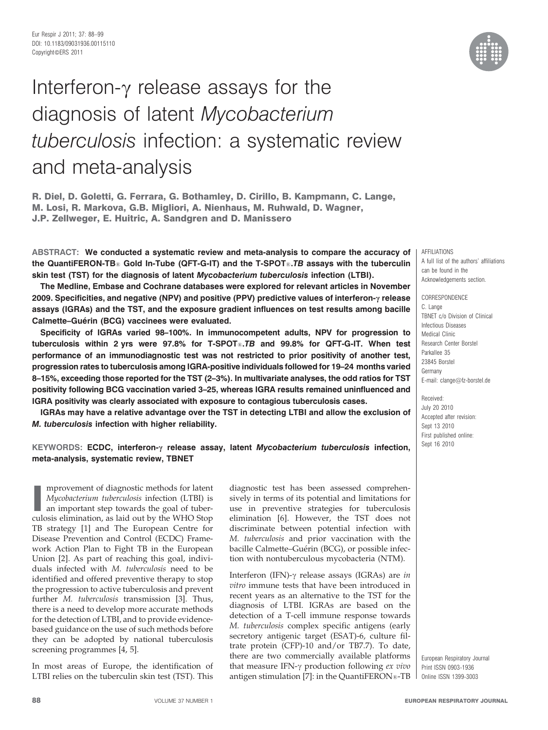# Interferon- $\gamma$  release assays for the diagnosis of latent Mycobacterium tuberculosis infection: a systematic review and meta-analysis

R. Diel, D. Goletti, G. Ferrara, G. Bothamley, D. Cirillo, B. Kampmann, C. Lange, M. Losi, R. Markova, G.B. Migliori, A. Nienhaus, M. Ruhwald, D. Wagner, J.P. Zellweger, E. Huitric, A. Sandgren and D. Manissero

ABSTRACT: We conducted a systematic review and meta-analysis to compare the accuracy of the QuantiFERON-TB $<sub>®</sub>$  Gold In-Tube (QFT-G-IT) and the T-SPOT $<sub>®</sub>$ .TB assays with the tuberculin</sub></sub> skin test (TST) for the diagnosis of latent Mycobacterium tuberculosis infection (LTBI).

The Medline, Embase and Cochrane databases were explored for relevant articles in November 2009. Specificities, and negative (NPV) and positive (PPV) predictive values of interferon- $\gamma$  release assays (IGRAs) and the TST, and the exposure gradient influences on test results among bacille Calmette-Guérin (BCG) vaccinees were evaluated.

Specificity of IGRAs varied 98–100%. In immunocompetent adults, NPV for progression to tuberculosis within 2 yrs were  $97.8\%$  for T-SPOT<sup>®</sup>.*TB* and  $99.8\%$  for QFT-G-IT. When test performance of an immunodiagnostic test was not restricted to prior positivity of another test, progression rates to tuberculosis among IGRA-positive individuals followed for 19–24 months varied 8–15%, exceeding those reported for the TST (2–3%). In multivariate analyses, the odd ratios for TST positivity following BCG vaccination varied 3–25, whereas IGRA results remained uninfluenced and IGRA positivity was clearly associated with exposure to contagious tuberculosis cases.

IGRAs may have a relative advantage over the TST in detecting LTBI and allow the exclusion of M. tuberculosis infection with higher reliability.

# KEYWORDS: ECDC, interferon- $\gamma$  release assay, latent Mycobacterium tuberculosis infection, meta-analysis, systematic review, TBNET

Improvement of diagnostic methods for latent *Mycobacterium tuberculosis* infection (LTBI) is an important step towards the goal of tuberculosis elimination, as laid out by the WHO Stop mprovement of diagnostic methods for latent Mycobacterium tuberculosis infection (LTBI) is an important step towards the goal of tuber-TB strategy [1] and The European Centre for Disease Prevention and Control (ECDC) Framework Action Plan to Fight TB in the European Union [2]. As part of reaching this goal, individuals infected with M. tuberculosis need to be identified and offered preventive therapy to stop the progression to active tuberculosis and prevent further M. tuberculosis transmission [3]. Thus, there is a need to develop more accurate methods for the detection of LTBI, and to provide evidencebased guidance on the use of such methods before they can be adopted by national tuberculosis screening programmes [4, 5].

In most areas of Europe, the identification of LTBI relies on the tuberculin skin test (TST). This

diagnostic test has been assessed comprehensively in terms of its potential and limitations for use in preventive strategies for tuberculosis elimination [6]. However, the TST does not discriminate between potential infection with M. tuberculosis and prior vaccination with the bacille Calmette–Guérin (BCG), or possible infection with nontuberculous mycobacteria (NTM).

Interferon (IFN)- $\gamma$  release assays (IGRAs) are in vitro immune tests that have been introduced in recent years as an alternative to the TST for the diagnosis of LTBI. IGRAs are based on the detection of a T-cell immune response towards M. tuberculosis complex specific antigens (early secretory antigenic target (ESAT)-6, culture filtrate protein (CFP)-10 and/or TB7.7). To date, there are two commercially available platforms that measure IFN- $\gamma$  production following ex vivo antigen stimulation [7]: in the QuantiFERON<sup>®</sup>-TB |



AFFILIATIONS A full list of the authors' affiliations can be found in the Acknowledgements section.

CORRESPONDENCE

C. Lange TBNET c/o Division of Clinical Infectious Diseases Medical Clinic Research Center Borstel Parkallee 35 23845 Borstel Germany E-mail: clange@fz-borstel.de

Received: July 20 2010 Accepted after revision: Sept 13 2010 First published online: Sept 16 2010

European Respiratory Journal Print ISSN 0903-1936 Online ISSN 1399-3003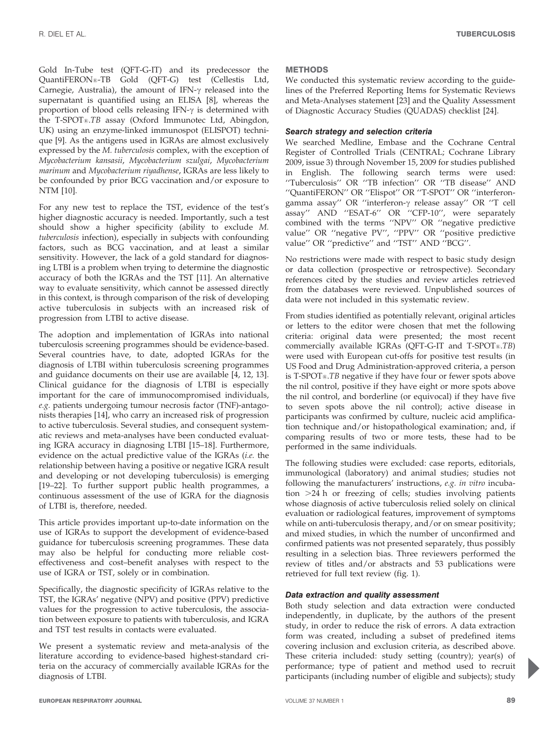R. DIEL ET AL. TUBERCULOSIS

Gold In-Tube test (QFT-G-IT) and its predecessor the QuantiFERON®-TB Gold (OFT-G) test (Cellestis Ltd, Carnegie, Australia), the amount of IFN- $\gamma$  released into the supernatant is quantified using an ELISA [8], whereas the proportion of blood cells releasing IFN- $\gamma$  is determined with the T-SPOT®.TB assay (Oxford Immunotec Ltd, Abingdon, UK) using an enzyme-linked immunospot (ELISPOT) technique [9]. As the antigens used in IGRAs are almost exclusively expressed by the M. tuberculosis complex, with the exception of Mycobacterium kansasii, Mycobacterium szulgai, Mycobacterium marinum and Mycobacterium riyadhense, IGRAs are less likely to be confounded by prior BCG vaccination and/or exposure to NTM [10].

For any new test to replace the TST, evidence of the test's higher diagnostic accuracy is needed. Importantly, such a test should show a higher specificity (ability to exclude M. tuberculosis infection), especially in subjects with confounding factors, such as BCG vaccination, and at least a similar sensitivity. However, the lack of a gold standard for diagnosing LTBI is a problem when trying to determine the diagnostic accuracy of both the IGRAs and the TST [11]. An alternative way to evaluate sensitivity, which cannot be assessed directly in this context, is through comparison of the risk of developing active tuberculosis in subjects with an increased risk of progression from LTBI to active disease.

The adoption and implementation of IGRAs into national tuberculosis screening programmes should be evidence-based. Several countries have, to date, adopted IGRAs for the diagnosis of LTBI within tuberculosis screening programmes and guidance documents on their use are available [4, 12, 13]. Clinical guidance for the diagnosis of LTBI is especially important for the care of immunocompromised individuals, e.g. patients undergoing tumour necrosis factor (TNF)-antagonists therapies [14], who carry an increased risk of progression to active tuberculosis. Several studies, and consequent systematic reviews and meta-analyses have been conducted evaluating IGRA accuracy in diagnosing LTBI [15–18]. Furthermore, evidence on the actual predictive value of the IGRAs (i.e. the relationship between having a positive or negative IGRA result and developing or not developing tuberculosis) is emerging [19–22]. To further support public health programmes, a continuous assessment of the use of IGRA for the diagnosis of LTBI is, therefore, needed.

This article provides important up-to-date information on the use of IGRAs to support the development of evidence-based guidance for tuberculosis screening programmes. These data may also be helpful for conducting more reliable costeffectiveness and cost–benefit analyses with respect to the use of IGRA or TST, solely or in combination.

Specifically, the diagnostic specificity of IGRAs relative to the TST, the IGRAs' negative (NPV) and positive (PPV) predictive values for the progression to active tuberculosis, the association between exposure to patients with tuberculosis, and IGRA and TST test results in contacts were evaluated.

We present a systematic review and meta-analysis of the literature according to evidence-based highest-standard criteria on the accuracy of commercially available IGRAs for the diagnosis of LTBI.

# **METHODS**

We conducted this systematic review according to the guidelines of the Preferred Reporting Items for Systematic Reviews and Meta-Analyses statement [23] and the Quality Assessment of Diagnostic Accuracy Studies (QUADAS) checklist [24].

#### Search strategy and selection criteria

We searched Medline, Embase and the Cochrane Central Register of Controlled Trials (CENTRAL; Cochrane Library 2009, issue 3) through November 15, 2009 for studies published in English. The following search terms were used: ''Tuberculosis'' OR ''TB infection'' OR ''TB disease'' AND ''QuantiFERON'' OR ''Elispot'' OR ''T-SPOT'' OR ''interferongamma assay" OR "interferon-γ release assay" OR "T cell assay'' AND ''ESAT-6'' OR ''CFP-10'', were separately combined with the terms ''NPV'' OR ''negative predictive value'' OR ''negative PV'', ''PPV'' OR ''positive predictive value'' OR ''predictive'' and ''TST'' AND ''BCG''.

No restrictions were made with respect to basic study design or data collection (prospective or retrospective). Secondary references cited by the studies and review articles retrieved from the databases were reviewed. Unpublished sources of data were not included in this systematic review.

From studies identified as potentially relevant, original articles or letters to the editor were chosen that met the following criteria: original data were presented; the most recent commercially available IGRAs (QFT-G-IT and T-SPOT®.TB) were used with European cut-offs for positive test results (in US Food and Drug Administration-approved criteria, a person is  $T-SPOT@.TB$  negative if they have four or fewer spots above the nil control, positive if they have eight or more spots above the nil control, and borderline (or equivocal) if they have five to seven spots above the nil control); active disease in participants was confirmed by culture, nucleic acid amplification technique and/or histopathological examination; and, if comparing results of two or more tests, these had to be performed in the same individuals.

The following studies were excluded: case reports, editorials, immunological (laboratory) and animal studies; studies not following the manufacturers' instructions, e.g. in vitro incubation  $>24$  h or freezing of cells; studies involving patients whose diagnosis of active tuberculosis relied solely on clinical evaluation or radiological features, improvement of symptoms while on anti-tuberculosis therapy, and/or on smear positivity; and mixed studies, in which the number of unconfirmed and confirmed patients was not presented separately, thus possibly resulting in a selection bias. Three reviewers performed the review of titles and/or abstracts and 53 publications were retrieved for full text review (fig. 1).

# Data extraction and quality assessment

Both study selection and data extraction were conducted independently, in duplicate, by the authors of the present study, in order to reduce the risk of errors. A data extraction form was created, including a subset of predefined items covering inclusion and exclusion criteria, as described above. These criteria included: study setting (country); year(s) of performance; type of patient and method used to recruit participants (including number of eligible and subjects); study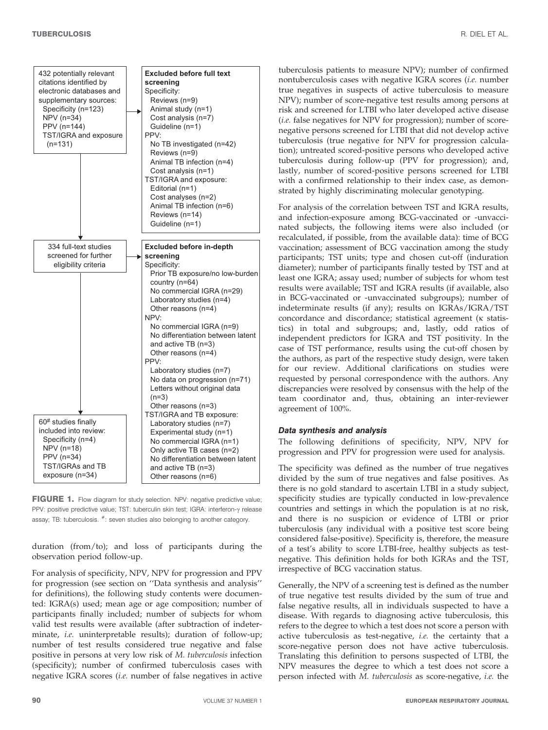

FIGURE 1. Flow diagram for study selection. NPV: negative predictive value; PPV: positive predictive value; TST: tuberculin skin test; IGRA: interferon- $\gamma$  release assay; TB: tuberculosis.  $*$ : seven studies also belonging to another category.

duration (from/to); and loss of participants during the observation period follow-up.

For analysis of specificity, NPV, NPV for progression and PPV for progression (see section on ''Data synthesis and analysis'' for definitions), the following study contents were documented: IGRA(s) used; mean age or age composition; number of participants finally included; number of subjects for whom valid test results were available (after subtraction of indeterminate, i.e. uninterpretable results); duration of follow-up; number of test results considered true negative and false positive in persons at very low risk of M. tuberculosis infection (specificity); number of confirmed tuberculosis cases with negative IGRA scores (i.e. number of false negatives in active

tuberculosis patients to measure NPV); number of confirmed nontuberculosis cases with negative IGRA scores (i.e. number true negatives in suspects of active tuberculosis to measure NPV); number of score-negative test results among persons at risk and screened for LTBI who later developed active disease (i.e. false negatives for NPV for progression); number of scorenegative persons screened for LTBI that did not develop active tuberculosis (true negative for NPV for progression calculation); untreated scored-positive persons who developed active tuberculosis during follow-up (PPV for progression); and, lastly, number of scored-positive persons screened for LTBI with a confirmed relationship to their index case, as demonstrated by highly discriminating molecular genotyping.

For analysis of the correlation between TST and IGRA results, and infection-exposure among BCG-vaccinated or -unvaccinated subjects, the following items were also included (or recalculated, if possible, from the available data): time of BCG vaccination; assessment of BCG vaccination among the study participants; TST units; type and chosen cut-off (induration diameter); number of participants finally tested by TST and at least one IGRA; assay used; number of subjects for whom test results were available; TST and IGRA results (if available, also in BCG-vaccinated or -unvaccinated subgroups); number of indeterminate results (if any); results on IGRAs/IGRA/TST concordance and discordance; statistical agreement (k statistics) in total and subgroups; and, lastly, odd ratios of independent predictors for IGRA and TST positivity. In the case of TST performance, results using the cut-off chosen by the authors, as part of the respective study design, were taken for our review. Additional clarifications on studies were requested by personal correspondence with the authors. Any discrepancies were resolved by consensus with the help of the team coordinator and, thus, obtaining an inter-reviewer agreement of 100%.

# Data synthesis and analysis

The following definitions of specificity, NPV, NPV for progression and PPV for progression were used for analysis.

The specificity was defined as the number of true negatives divided by the sum of true negatives and false positives. As there is no gold standard to ascertain LTBI in a study subject, specificity studies are typically conducted in low-prevalence countries and settings in which the population is at no risk, and there is no suspicion or evidence of LTBI or prior tuberculosis (any individual with a positive test score being considered false-positive). Specificity is, therefore, the measure of a test's ability to score LTBI-free, healthy subjects as testnegative. This definition holds for both IGRAs and the TST, irrespective of BCG vaccination status.

Generally, the NPV of a screening test is defined as the number of true negative test results divided by the sum of true and false negative results, all in individuals suspected to have a disease. With regards to diagnosing active tuberculosis, this refers to the degree to which a test does not score a person with active tuberculosis as test-negative, i.e. the certainty that a score-negative person does not have active tuberculosis. Translating this definition to persons suspected of LTBI, the NPV measures the degree to which a test does not score a person infected with M. tuberculosis as score-negative, i.e. the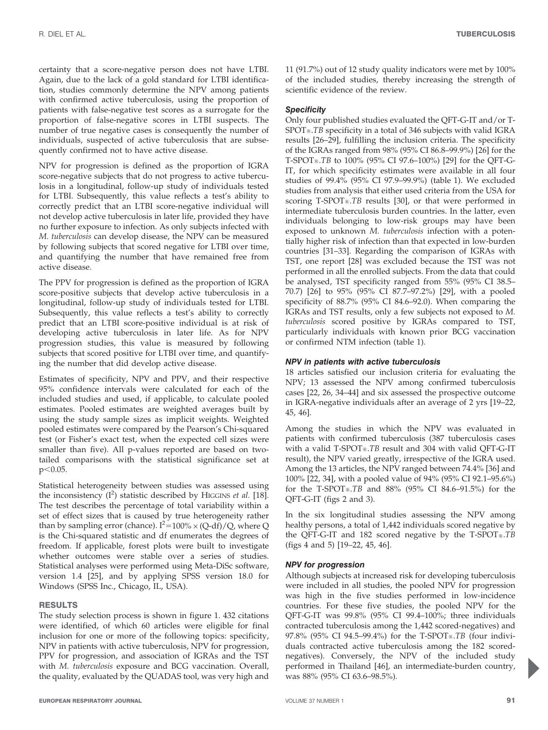certainty that a score-negative person does not have LTBI. Again, due to the lack of a gold standard for LTBI identification, studies commonly determine the NPV among patients with confirmed active tuberculosis, using the proportion of patients with false-negative test scores as a surrogate for the proportion of false-negative scores in LTBI suspects. The number of true negative cases is consequently the number of individuals, suspected of active tuberculosis that are subsequently confirmed not to have active disease.

NPV for progression is defined as the proportion of IGRA score-negative subjects that do not progress to active tuberculosis in a longitudinal, follow-up study of individuals tested for LTBI. Subsequently, this value reflects a test's ability to correctly predict that an LTBI score-negative individual will not develop active tuberculosis in later life, provided they have no further exposure to infection. As only subjects infected with M. tuberculosis can develop disease, the NPV can be measured by following subjects that scored negative for LTBI over time, and quantifying the number that have remained free from active disease.

The PPV for progression is defined as the proportion of IGRA score-positive subjects that develop active tuberculosis in a longitudinal, follow-up study of individuals tested for LTBI. Subsequently, this value reflects a test's ability to correctly predict that an LTBI score-positive individual is at risk of developing active tuberculosis in later life. As for NPV progression studies, this value is measured by following subjects that scored positive for LTBI over time, and quantifying the number that did develop active disease.

Estimates of specificity, NPV and PPV, and their respective 95% confidence intervals were calculated for each of the included studies and used, if applicable, to calculate pooled estimates. Pooled estimates are weighted averages built by using the study sample sizes as implicit weights. Weighted pooled estimates were compared by the Pearson's Chi-squared test (or Fisher's exact test, when the expected cell sizes were smaller than five). All p-values reported are based on twotailed comparisons with the statistical significance set at  $p<0.05$ .

Statistical heterogeneity between studies was assessed using the inconsistency  $(I^2)$  statistic described by HIGGINS et al. [18]. The test describes the percentage of total variability within a set of effect sizes that is caused by true heterogeneity rather than by sampling error (chance).  $I^2 = 100\% \times (Q \text{-df})/Q$ , where Q is the Chi-squared statistic and df enumerates the degrees of freedom. If applicable, forest plots were built to investigate whether outcomes were stable over a series of studies. Statistical analyses were performed using Meta-DiSc software, version 1.4 [25], and by applying SPSS version 18.0 for Windows (SPSS Inc., Chicago, IL, USA).

#### RESULTS

The study selection process is shown in figure 1. 432 citations were identified, of which 60 articles were eligible for final inclusion for one or more of the following topics: specificity, NPV in patients with active tuberculosis, NPV for progression, PPV for progression, and association of IGRAs and the TST with M. tuberculosis exposure and BCG vaccination. Overall, the quality, evaluated by the QUADAS tool, was very high and

# **Specificity**

Only four published studies evaluated the QFT-G-IT and/or T- $SPOT@.TB$  specificity in a total of 346 subjects with valid IGRA results [26–29], fulfilling the inclusion criteria. The specificity of the IGRAs ranged from 98% (95% CI 86.8–99.9%) [26] for the T-SPOT<sup>®</sup>.TB to 100% (95% CI 97.6–100%) [29] for the QFT-G-IT, for which specificity estimates were available in all four studies of 99.4% (95% CI 97.9–99.9%) (table 1). We excluded studies from analysis that either used criteria from the USA for scoring T-SPOT®.TB results [30], or that were performed in intermediate tuberculosis burden countries. In the latter, even individuals belonging to low-risk groups may have been exposed to unknown M. tuberculosis infection with a potentially higher risk of infection than that expected in low-burden countries [31–33]. Regarding the comparison of IGRAs with TST, one report [28] was excluded because the TST was not performed in all the enrolled subjects. From the data that could be analysed, TST specificity ranged from 55% (95% CI 38.5– 70.7) [26] to 95% (95% CI 87.7–97.2%) [29], with a pooled specificity of 88.7% (95% CI 84.6–92.0). When comparing the IGRAs and TST results, only a few subjects not exposed to M. tuberculosis scored positive by IGRAs compared to TST, particularly individuals with known prior BCG vaccination or confirmed NTM infection (table 1).

# NPV in patients with active tuberculosis

18 articles satisfied our inclusion criteria for evaluating the NPV; 13 assessed the NPV among confirmed tuberculosis cases [22, 26, 34–44] and six assessed the prospective outcome in IGRA-negative individuals after an average of 2 yrs [19–22, 45, 46].

Among the studies in which the NPV was evaluated in patients with confirmed tuberculosis (387 tuberculosis cases with a valid T-SPOT®.TB result and 304 with valid QFT-G-IT result), the NPV varied greatly, irrespective of the IGRA used. Among the 13 articles, the NPV ranged between 74.4% [36] and 100% [22, 34], with a pooled value of 94% (95% CI 92.1–95.6%) for the T-SPOT®.TB and  $88\%$  (95% CI 84.6–91.5%) for the QFT-G-IT (figs 2 and 3).

In the six longitudinal studies assessing the NPV among healthy persons, a total of 1,442 individuals scored negative by the QFT-G-IT and 182 scored negative by the T-SPOT®.TB (figs 4 and 5) [19–22, 45, 46].

# NPV for progression

Although subjects at increased risk for developing tuberculosis were included in all studies, the pooled NPV for progression was high in the five studies performed in low-incidence countries. For these five studies, the pooled NPV for the QFT-G-IT was 99.8% (95% CI 99.4–100%; three individuals contracted tuberculosis among the 1,442 scored-negatives) and 97.8% (95% CI 94.5–99.4%) for the T-SPOT®.TB (four individuals contracted active tuberculosis among the 182 scorednegatives). Conversely, the NPV of the included study performed in Thailand [46], an intermediate-burden country, was 88% (95% CI 63.6–98.5%).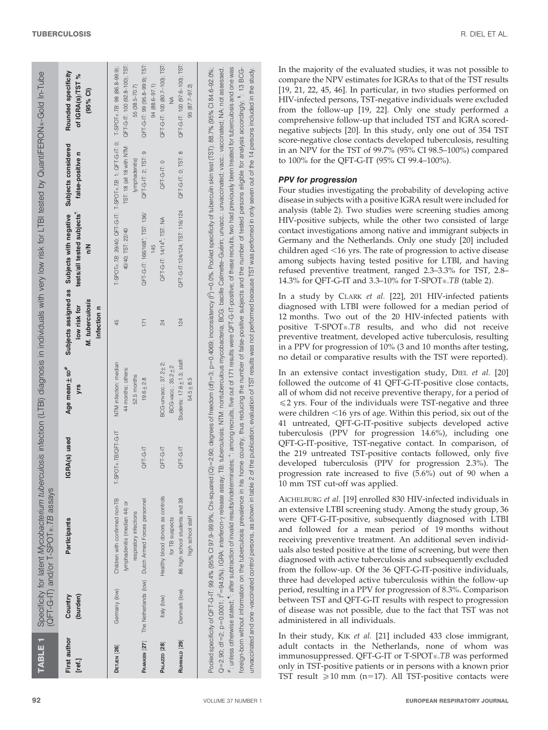| TABLE <sub>1</sub>      |                     | Specificity for latent Mycobacterium tuberculosis infection (LTBI) diagnosis in individuals with very low risk for LTBI tested by QuantiFERON a-Gold In-Tube<br>(QFT-G-IT) and/or T-SPOT <sup>®</sup> . TB assays                                                                                                                                                                                                                                                                                                                                                                                                                                                                                                                                                                                                                                                                                                |                                  |                                                            |                                                |                                                                                                               |                                            |                                                       |
|-------------------------|---------------------|------------------------------------------------------------------------------------------------------------------------------------------------------------------------------------------------------------------------------------------------------------------------------------------------------------------------------------------------------------------------------------------------------------------------------------------------------------------------------------------------------------------------------------------------------------------------------------------------------------------------------------------------------------------------------------------------------------------------------------------------------------------------------------------------------------------------------------------------------------------------------------------------------------------|----------------------------------|------------------------------------------------------------|------------------------------------------------|---------------------------------------------------------------------------------------------------------------|--------------------------------------------|-------------------------------------------------------|
| First author<br>[ref.]  | (burden)<br>Country | Participants                                                                                                                                                                                                                                                                                                                                                                                                                                                                                                                                                                                                                                                                                                                                                                                                                                                                                                     | IGRA(s) used                     | Age mean $\pm$ sp <sup>#</sup><br>yrs                      | M. tuberculosis<br>low risk for<br>infection n | Subjects assigned as Subjects with negative Subjects considered<br>tests/all tested subjects<br>$\frac{2}{5}$ | false-positive n                           | Rounded specificity<br>of IGRA(s)/TST %<br>$(95%$ CI) |
| <b>DETJEN</b> [26]      | Germany (low)       | Children with confirmed non-TB<br>lymphadenitis (median 44) or<br>respiratory infections                                                                                                                                                                                                                                                                                                                                                                                                                                                                                                                                                                                                                                                                                                                                                                                                                         | T-SPOT <sup>®</sup> .7B/QFT-G-IT | NTM infection: median<br>44 months; others:<br>52.5 months | 45                                             | T-SPOT®.TB: 39/40; QFT-G-IT: QFT-G-IT: O; T-SPOT®.TB: 10; T-SPOT®.TB: 9888-999.9);<br>40/40; TST: 22/40       | TST: 18 (all 18 with NTM<br>lymphadenitis) | QFT-G-IT: 100 (92.8-100); TST:<br>55 (38.5-70.7)      |
| FRANKEN [27]            |                     | The Netherlands (low) Dutch Armed Forces personnel                                                                                                                                                                                                                                                                                                                                                                                                                                                                                                                                                                                                                                                                                                                                                                                                                                                               | QFT-G-IT                         | $19.6 \pm 2.8$                                             | 171                                            | QFT-G-IT: 166/168*; TST: 136/                                                                                 | QFT-G-IT: 2; TST: 9                        | QFT-G-IT: 99 (95.8-99.9); TST:<br>94 (88.6-97.1)      |
| <b>PALAZZO</b> [28]     | Italy (low)         | Healthy blood donors as controls<br>for TB suspects                                                                                                                                                                                                                                                                                                                                                                                                                                                                                                                                                                                                                                                                                                                                                                                                                                                              | QFT-G-IT                         | BCG-unvacc.: 37.2 ± 2;<br>BCG-vacc.: 35.2±2                | $\overline{24}$                                | QFT-G-IT: 14/14 <sup>3</sup> ; TST: NA                                                                        | QFT-G-IT: 0                                | QFT-G-IT: 100.00 00 00 1.<br>≸                        |
| RUHWALD <sup>[29]</sup> | Denmark (low)       | 86 high school students and 38<br>high school staff                                                                                                                                                                                                                                                                                                                                                                                                                                                                                                                                                                                                                                                                                                                                                                                                                                                              | QFT-G-IT                         | Students: 17.6±1.3; staff:<br>54.5 ± 8.5                   | 124                                            | QFT-G-IT:124/124; TST: 116/124                                                                                | QFT-G-IT: 0; TST: 8                        | QFT-G-IT: 100 (97.6-100); TST:<br>95 (87.7-97.2)      |
|                         |                     | : unless otherwise stated; 1: after subtraction of invalid results/indeterminates; *: among recruits, five out of 171 results were QFT-G-IT-positive; of these recruits, two had previously been treated for tuberculosis and<br>Pooled specificity of OFT-G-IT: 99.4% (Di-99.99%; Chi-squared (Q) =2.90; degrees of freedom (df) =0. 9-0. Applosatency (f $\uparrow$ =0.9%. Pooled specificity of tuberculin skin fest], 88.7% (95% Cl 84.6-92.0%;<br>Q=2.90; df=2; p=0.0001; f <sup>2</sup> =94.5%). IGRA: interferon-y release assay, TB: tuberculosis; NTM: nontuberculous mycobacteria; BCG: bacille Calmette-Guérin; unvacci: unvaccinated; vacc.: vaccinated; NA: not assessed.<br>ioreign-born without information on the tuberculosis prevalence in his home county, thus reducing the number of false-positive subjects and the number of tested persons eligible for analysis accordingly, *: 13 BCG- |                                  |                                                            |                                                |                                                                                                               |                                            |                                                       |

In the majority of the evaluated studies, it was not possible to compare the NPV estimates for IGRAs to that of the TST results [19, 21, 22, 45, 46]. In particular, in two studies performed on HIV-infected persons, TST-negative individuals were excluded from the follow-up [19, 22]. Only one study performed a comprehensive follow-up that included TST and IGRA scorednegative subjects [20]. In this study, only one out of 354 TST score-negative close contacts developed tuberculosis, resulting in an NPV for the TST of 99.7% (95% CI 98.5–100%) compared to 100% for the QFT-G-IT (95% CI 99.4–100%).

# PPV for progression

Four studies investigating the probability of developing active disease in subjects with a positive IGRA result were included for analysis (table 2). Two studies were screening studies among HIV-positive subjects, while the other two consisted of large contact investigations among native and immigrant subjects in Germany and the Netherlands. Only one study [20] included children aged  $\leq 16$  yrs. The rate of progression to active disease among subjects having tested positive for LTBI, and having refused preventive treatment, ranged 2.3–3.3% for TST, 2.8– 14.3% for QFT-G-IT and 3.3–10% for T-SPOT®.TB (table 2).

In a study by CLARK et al. [22], 201 HIV-infected patients diagnosed with LTBI were followed for a median period of 12 months. Two out of the 20 HIV-infected patients with positive T-SPOT®.TB results, and who did not receive preventive treatment, developed active tuberculosis, resulting in a PPV for progression of 10% (3 and 10 months after testing, no detail or comparative results with the TST were reported).

In an extensive contact investigation study, DIEL et al. [20] followed the outcome of 41 QFT-G-IT-positive close contacts, all of whom did not receive preventive therapy, for a period of  $\leq$  2 yrs. Four of the individuals were TST-negative and three were children  $<$ 16 yrs of age. Within this period, six out of the 41 untreated, QFT-G-IT-positive subjects developed active tuberculosis (PPV for progression 14.6%), including one QFT-G-IT-positive, TST-negative contact. In comparison, of the 219 untreated TST-positive contacts followed, only five developed tuberculosis (PPV for progression 2.3%). The progression rate increased to five (5.6%) out of 90 when a 10 mm TST cut-off was applied.

AICHELBURG et al. [19] enrolled 830 HIV-infected individuals in an extensive LTBI screening study. Among the study group, 36 were QFT-G-IT-positive, subsequently diagnosed with LTBI and followed for a mean period of 19 months without receiving preventive treatment. An additional seven individuals also tested positive at the time of screening, but were then diagnosed with active tuberculosis and subsequently excluded from the follow-up. Of the 36 QFT-G-IT-positive individuals, three had developed active tuberculosis within the follow-up period, resulting in a PPV for progression of 8.3%. Comparison between TST and QFT-G-IT results with respect to progression of disease was not possible, due to the fact that TST was not administered in all individuals.

In their study, KIK et al. [21] included 433 close immigrant, adult contacts in the Netherlands, none of whom was immunosuppressed. QFT-G-IT or T-SPOT®.TB was performed only in TST-positive patients or in persons with a known prior TST result  $\geq 10$  mm (n=17). All TST-positive contacts were

foreign-born without information on the tuberculosis prevalence in his home country, thus reducing the number of false-positive subjects and the number of tested persons eligible for analysis accordingly; 1: 13 BCGunvaccinated and one -vaccinated control persons, as shown in table 2 of the publication; evaluation of TST results was not performed because TST was perfomed in only seven out of the 14 persons included in the study.

as shown in table 2 of the publication; evaluation of TST results was not performed because

unvaccinated and one-vaccinated control persons,

the 14 persons included in the study

seven out of

was perfomed in only tested  $\overline{5}$ 

 $\overline{181}$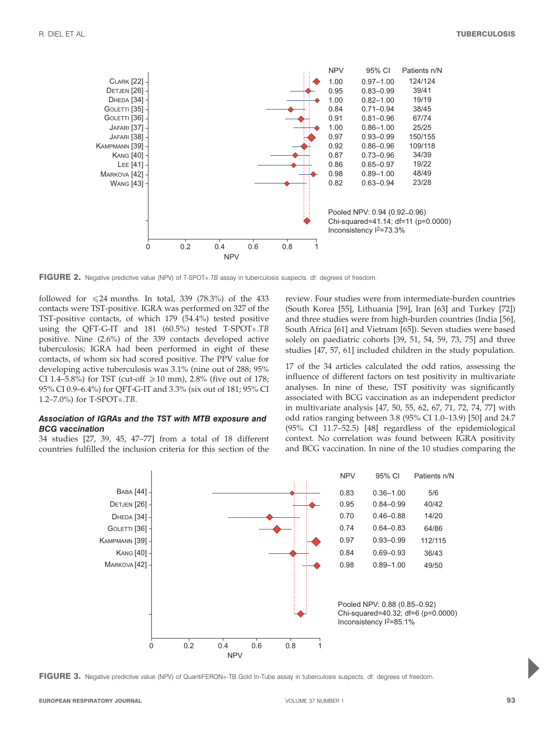

FIGURE 2. Negative predictive value (NPV) of T-SPOT $_{\rm B}$ .TB assay in tuberculosis suspects. df: degrees of freedom.

followed for  $\leq 24$  months. In total, 339 (78.3%) of the 433 contacts were TST-positive. IGRA was performed on 327 of the TST-positive contacts, of which 179 (54.4%) tested positive using the QFT-G-IT and  $181$  (60.5%) tested T-SPOT®.TB positive. Nine (2.6%) of the 339 contacts developed active tuberculosis; IGRA had been performed in eight of these contacts, of whom six had scored positive. The PPV value for developing active tuberculosis was 3.1% (nine out of 288; 95% CI 1.4–5.8%) for TST (cut-off  $\geq 10$  mm), 2.8% (five out of 178; 95% CI 0.9–6.4%) for QFT-G-IT and 3.3% (six out of 181; 95% CI 1.2–7.0%) for T-SPOT $\text{R}$ .TB.

## Association of IGRAs and the TST with MTB exposure and BCG vaccination

34 studies [27, 39, 45, 47–77] from a total of 18 different countries fulfilled the inclusion criteria for this section of the

review. Four studies were from intermediate-burden countries (South Korea [55], Lithuania [59], Iran [63] and Turkey [72]) and three studies were from high-burden countries (India [56], South Africa [61] and Vietnam [65]). Seven studies were based solely on paediatric cohorts [39, 51, 54, 59, 73, 75] and three studies [47, 57, 61] included children in the study population.

17 of the 34 articles calculated the odd ratios, assessing the influence of different factors on test positivity in multivariate analyses. In nine of these, TST positivity was significantly associated with BCG vaccination as an independent predictor in multivariate analysis [47, 50, 55, 62, 67, 71, 72, 74, 77] with odd ratios ranging between 3.8 (95% CI 1.0–13.9) [50] and 24.7 (95% CI 11.7–52.5) [48] regardless of the epidemiological context. No correlation was found between IGRA positivity and BCG vaccination. In nine of the 10 studies comparing the



FIGURE 3. Negative predictive value (NPV) of QuantiFERON<sup>®</sup>-TB Gold In-Tube assay in tuberculosis suspects. df: degrees of freedom.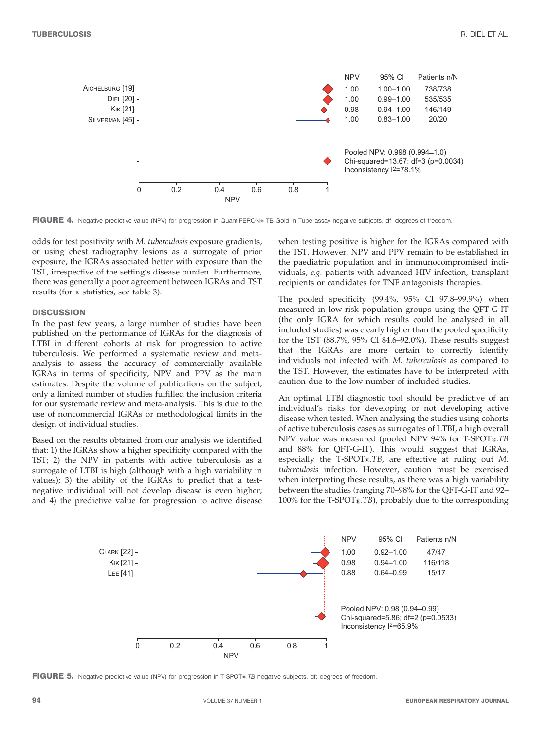

FIGURE 4. Negative predictive value (NPV) for progression in QuantiFERON®-TB Gold In-Tube assay negative subjects. df: degrees of freedom.

odds for test positivity with M. tuberculosis exposure gradients, or using chest radiography lesions as a surrogate of prior exposure, the IGRAs associated better with exposure than the TST, irrespective of the setting's disease burden. Furthermore, there was generally a poor agreement between IGRAs and TST results (for k statistics, see table 3).

#### **DISCUSSION**

In the past few years, a large number of studies have been published on the performance of IGRAs for the diagnosis of LTBI in different cohorts at risk for progression to active tuberculosis. We performed a systematic review and metaanalysis to assess the accuracy of commercially available IGRAs in terms of specificity, NPV and PPV as the main estimates. Despite the volume of publications on the subject, only a limited number of studies fulfilled the inclusion criteria for our systematic review and meta-analysis. This is due to the use of noncommercial IGRAs or methodological limits in the design of individual studies.

Based on the results obtained from our analysis we identified that: 1) the IGRAs show a higher specificity compared with the TST; 2) the NPV in patients with active tuberculosis as a surrogate of LTBI is high (although with a high variability in values); 3) the ability of the IGRAs to predict that a testnegative individual will not develop disease is even higher; and 4) the predictive value for progression to active disease when testing positive is higher for the IGRAs compared with the TST. However, NPV and PPV remain to be established in the paediatric population and in immunocompromised individuals, e.g. patients with advanced HIV infection, transplant recipients or candidates for TNF antagonists therapies.

The pooled specificity (99.4%, 95% CI 97.8–99.9%) when measured in low-risk population groups using the QFT-G-IT (the only IGRA for which results could be analysed in all included studies) was clearly higher than the pooled specificity for the TST (88.7%, 95% CI 84.6–92.0%). These results suggest that the IGRAs are more certain to correctly identify individuals not infected with M. tuberculosis as compared to the TST. However, the estimates have to be interpreted with caution due to the low number of included studies.

An optimal LTBI diagnostic tool should be predictive of an individual's risks for developing or not developing active disease when tested. When analysing the studies using cohorts of active tuberculosis cases as surrogates of LTBI, a high overall NPV value was measured (pooled NPV 94% for T-SPOT®.TB and 88% for QFT-G-IT). This would suggest that IGRAs, especially the T-SPOT®.TB, are effective at ruling out  $M$ . tuberculosis infection. However, caution must be exercised when interpreting these results, as there was a high variability between the studies (ranging 70–98% for the QFT-G-IT and 92– 100% for the T-SPOT®.TB), probably due to the corresponding



FIGURE 5. Negative predictive value (NPV) for progression in T-SPOT<sub>®</sub>. TB negative subjects. df: degrees of freedom.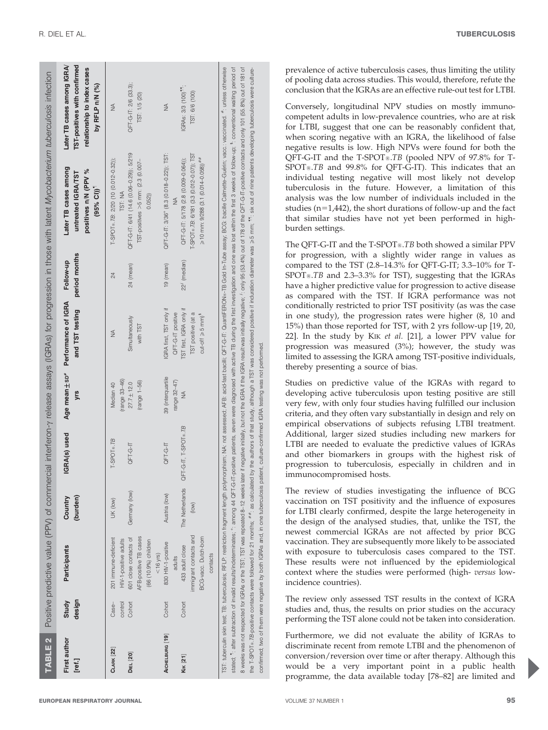|                        |                   |                                                                                   |                     |                         |                                  |                                                        |                            | TABLE 2 Positive predictive value (PPV) of commercial interferon-y release assays (IGRAs) for progression in those with latent Mycobacterium tuberculosis infection                                                                                                                                                                                                                                                                                              |                                                                                                              |
|------------------------|-------------------|-----------------------------------------------------------------------------------|---------------------|-------------------------|----------------------------------|--------------------------------------------------------|----------------------------|------------------------------------------------------------------------------------------------------------------------------------------------------------------------------------------------------------------------------------------------------------------------------------------------------------------------------------------------------------------------------------------------------------------------------------------------------------------|--------------------------------------------------------------------------------------------------------------|
| First author<br>[ref.] | design<br>Study   | Participants                                                                      | (burden)<br>Country | IGRA(s) used            | Age mean ±sp <sup>#</sup><br>yrs | Performance of IGRA<br>and TST testing                 | period months<br>Follow-up | Later TB cases among<br>positives n/N (PPV %<br>untreated IGRA/TST<br>$(95%$ CI))                                                                                                                                                                                                                                                                                                                                                                                | TST-positives with confirmed<br>Later TB cases among IGRA/<br>relationship to index cases<br>by RFLP n/N (%) |
| <b>QARK</b> [22]       | Case-             | 201 immune-deficient                                                              | UK (low)            | $T-SPOT_{\text{R}}$ .78 | Median 40                        | ≸                                                      | 24                         | T-SPOT®. TB: 2/20 (10 (0.012-0.32));                                                                                                                                                                                                                                                                                                                                                                                                                             | ≸                                                                                                            |
| DIEL [20]              | Cohort<br>control | 601 close contacts of<br>HIV-1-positive adults                                    | Germany (low)       | QFT-G-IT                | (range 33-46)<br>$27.7 \pm 12.0$ | Simultaneously                                         | 24 (mean)                  | QFT-G-IT: 6/41 (14.6 (0.06-0.29)); 5/219<br>TST: NA                                                                                                                                                                                                                                                                                                                                                                                                              | QFT-G-IT: 2/6 (33.3);                                                                                        |
|                        |                   | AFB-positive TB cases<br>(66 (10.9%) children                                     |                     |                         | $(range 1-56)$                   | with TST                                               |                            | TST-positives >5 mm: (2.3 (0.007-<br>0.052)                                                                                                                                                                                                                                                                                                                                                                                                                      | TST: 1/5 (20)                                                                                                |
| AICHELBURG [19]        | Cohort            | 830 HIV-1-positive<br>$<$ 16 yrs)                                                 | Austria (low)       | QFT-G-IT                | 39 (interquartile                | IGRA first, TST only if                                | 19 (mean)                  | QFT-G-IT: 3/36 <sup>+</sup> (8.3 (0.018-0.22)); TST:                                                                                                                                                                                                                                                                                                                                                                                                             | $\frac{1}{2}$                                                                                                |
| Kw [21]                | Cohort            | 433 adult close<br>adults                                                         | The Netherlands     | QFT-G-IT, T-SPOT®.7B    | range 32-47)<br>≸                | TST first, IGRA only if<br>QFT-G-IT positive           | 22 <sup>f</sup> (median)   | QFT-G-IT: 5/178 (2.8 (0.009-0.064));                                                                                                                                                                                                                                                                                                                                                                                                                             | IGRAS: 3/3 (100) <sup>11</sup>                                                                               |
|                        |                   | immigrant contacts and<br>BCG-vacc. Dutch-born                                    | (low)               |                         |                                  | TST positive (at a<br>$cut-off \ge 5$ mm) <sup>5</sup> |                            | г-SPOT®. ТВ: 6/181 (3.3 (0.012-0.07)); TST<br>$\geq 10$ mm: 9/288 (3.1 (0.014-0.058)) <sup>##</sup>                                                                                                                                                                                                                                                                                                                                                              | TST: 6/6 (100)                                                                                               |
|                        |                   | contacts                                                                          |                     |                         |                                  |                                                        |                            |                                                                                                                                                                                                                                                                                                                                                                                                                                                                  |                                                                                                              |
|                        |                   |                                                                                   |                     |                         |                                  |                                                        |                            | IST: tuberculin skin fest, TB: tuberculosis; RFLP: restriction fragment length polymorphism; MA: not assessed; AFB: acid-fast bacilin; CuT-G-T-G-TI-C-Mi-FERONs-TB Gold in-Tube assay; BCG: bacille Calmette -Guérin; vaccinat<br>stated; 1: after subtraction of invalid results/indeterminates; 7: among 44 QFT-G-IT-positive patients, seven were diagnosed with active TB during the first investigation and one was lost within the first 3 weeks of follow |                                                                                                              |
|                        |                   |                                                                                   |                     |                         |                                  |                                                        |                            | 8 weeks was not respected for IGRAs or the TST; TST was repeated 8-12 weeks later if negative; but not the IGRA if the IGRA if the IGRA is was ultimally negative; $t$ ; only 56, 58,4%) out of T8-12-T-Q-IT-positive contacts                                                                                                                                                                                                                                   |                                                                                                              |
|                        |                   | the T-SPOT ®. TB-positive contacts were followed for 21 months; ##: as calculated |                     |                         |                                  |                                                        |                            | by the authors of that study, although a TST was considered positive if induration diameter was $\geq$ 5 mm; <sup>16</sup> ; six out of nine patients developing tuberculosis were culture-                                                                                                                                                                                                                                                                      |                                                                                                              |

prevalence of active tuberculosis cases, thus limiting the utility of pooling data across studies. This would, therefore, refute the conclusion that the IGRAs are an effective rule-out test for LTBI.

Conversely, longitudinal NPV studies on mostly immunocompetent adults in low-prevalence countries, who are at risk for LTBI, suggest that one can be reasonably confident that, when scoring negative with an IGRA, the likelihood of false negative results is low. High NPVs were found for both the QFT-G-IT and the T-SPOT<sup>®</sup>.TB (pooled NPV of 97.8% for T- $SPOT@.TB$  and  $99.8%$  for OFT-G-IT). This indicates that an individual testing negative will most likely not develop tuberculosis in the future. However, a limitation of this analysis was the low number of individuals included in the studies ( $n=1,442$ ), the short durations of follow-up and the fact that similar studies have not yet been performed in highburden settings.

The OFT-G-IT and the T-SPOT®.TB both showed a similar PPV for progression, with a slightly wider range in values as compared to the TST (2.8–14.3% for QFT-G-IT; 3.3–10% for T- $SPOT<sub>®</sub>.TB$  and 2.3–3.3% for TST), suggesting that the IGRAs have a higher predictive value for progression to active disease as compared with the TST. If IGRA performance was not conditionally restricted to prior TST positivity (as was the case in one study), the progression rates were higher (8, 10 and 15%) than those reported for TST, with 2 yrs follow-up [19, 20, 22]. In the study by KIK et al. [21], a lower PPV value for progression was measured (3%); however, the study was limited to assessing the IGRA among TST-positive individuals, thereby presenting a source of bias.

Studies on predictive value of the IGRAs with regard to developing active tuberculosis upon testing positive are still very few, with only four studies having fulfilled our inclusion criteria, and they often vary substantially in design and rely on empirical observations of subjects refusing LTBI treatment. Additional, larger sized studies including new markers for LTBI are needed to evaluate the predictive values of IGRAs and other biomarkers in groups with the highest risk of progression to tuberculosis, especially in children and in immunocompromised hosts.

The review of studies investigating the influence of BCG vaccination on TST positivity and the influence of exposures for LTBI clearly confirmed, despite the large heterogeneity in the design of the analysed studies, that, unlike the TST, the newest commercial IGRAs are not affected by prior BCG vaccination. They are subsequently more likely to be associated with exposure to tuberculosis cases compared to the TST. These results were not influenced by the epidemiological context where the studies were performed (high- versus lowincidence countries).

The review only assessed TST results in the context of IGRA studies and, thus, the results on prior studies on the accuracy performing the TST alone could not be taken into consideration.

Furthermore, we did not evaluate the ability of IGRAs to discriminate recent from remote LTBI and the phenomenon of conversion/reversion over time or after therapy. Although this would be a very important point in a public health programme, the data available today [78–82] are limited and

confirmed; two of them were negative by both IGRAs and, in one tuberculosis patient, culture-confirmed IGRA testing was not performed.

confirmed; two of them were negative by both IGRAs and, in one tuberculosis patient, culture-confirmed IGRA testing was not performed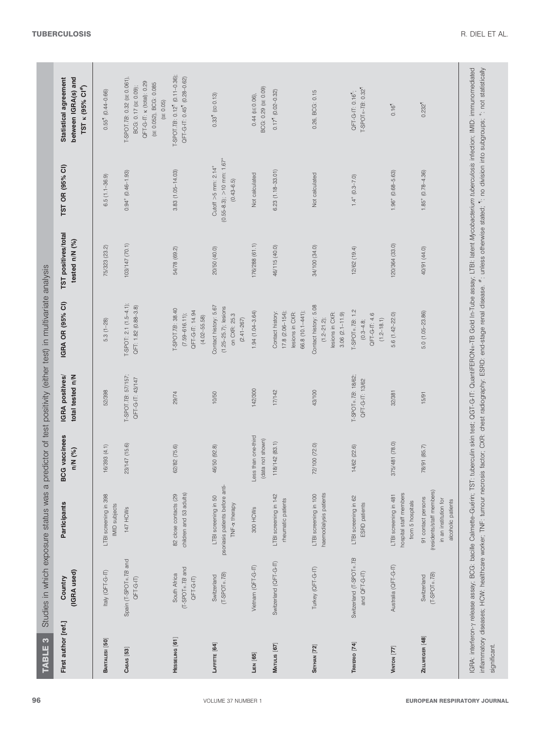| TABLE <sub>3</sub>        |                                                | Studies in which exposure status was a predictor of test positivity (either test) in multivariate analysis |                                         |                                        |                                                                                      |                                       |                                                                                         |                                                                                                                                                                                                                                                                                                                                                                     |
|---------------------------|------------------------------------------------|------------------------------------------------------------------------------------------------------------|-----------------------------------------|----------------------------------------|--------------------------------------------------------------------------------------|---------------------------------------|-----------------------------------------------------------------------------------------|---------------------------------------------------------------------------------------------------------------------------------------------------------------------------------------------------------------------------------------------------------------------------------------------------------------------------------------------------------------------|
| First author [ref.]       | (IGRA used)<br>Country                         | Participants                                                                                               | <b>BCG</b> vaccinees<br>n/N (%)         | IGRA positives/<br>total tested n/N    | IGRA OR (95% CI)                                                                     | TST positives/total<br>tested n/N (%) | TST OR (95% CI)                                                                         | between IGRA(s) and<br>Statistical agreement<br>TST к (95% Cl <sup>#</sup> )                                                                                                                                                                                                                                                                                        |
| BARTALESI <sup>[50]</sup> | Italy (QFT-G-IT)                               | LTBI screening in 398<br>IMID subjects                                                                     | 6/393(4.1)                              | 52/398                                 | $5.3(1 - 28)$                                                                        | 75/323 (23.2)                         | $6.5(1.1 - 36.9)$                                                                       | $0.55$ <sup>1</sup> $(0.44 - 0.66)$                                                                                                                                                                                                                                                                                                                                 |
| CASAS [53]                | Spain (T-SPOT®, TB and<br>$QFT-G-T$            | 147 HCWs                                                                                                   | 23/147 (15.6)                           | T-SPOT.TB: 57/157;<br>QFT-G-IT: 43/147 | T-SPOT: 2.1 (1.5-4.1);<br>QFT: 1.82 (0.88-3.8)                                       | 103/147 (70.1)                        | $0.94^{+}$ (0.46-1.93)                                                                  | T-SPOT. 7B: 0.32 (SE 0.061),<br>QFT-G-IT: k (total): 0.29<br>(SE 0.052), BCG: 0.085<br>BCG: 0.17 (SE 0.09);<br>(SE 0.05)                                                                                                                                                                                                                                            |
| HESSELING [61]            | $(T-SPOT@.TB$ and<br>South Africa<br>$QFT-G-T$ | children and 53 adults)<br>82 close contacts (29                                                           | 62/82 (75.6)                            | 29/74                                  | T-SPOT.TB: 38.40<br>QFT-G-IT: 14.94<br>$(7.59 - 616.11)$ ;<br>$(4.02 - 55.58)$       | 54/78 (69.2)                          | $3.83(1.05 - 14.03)$                                                                    | T-SPOT.7B: 0.12 <sup>1</sup> (0.11-0.36);<br>QFT-G-IT: 0.45 <sup>1</sup> (0.28-0.62)                                                                                                                                                                                                                                                                                |
| LAFFITTE [64]             | $(T-SPOT@.TB)$<br>Switzerland                  | psoriasis patients before anti-<br>LTBI screening in 50<br>$TNF-\alpha$ therapy                            | 46/50 (92.8)                            | 10/50                                  | Contact history: 5.67<br>$(1.25 - 25.7)$ ; lesions<br>on CXR: 25.3<br>$(2.41 - 267)$ | 20/50 (40.0)                          | $(0.55-8.3)$ ; $>10$ mm: 1.67 <sup>+</sup><br>Cutoff $>5$ mm: $2.14+$<br>$(0.43 - 6.5)$ | $0.33$ <sup>1</sup> (SD $0.13$ )                                                                                                                                                                                                                                                                                                                                    |
| LEN [65]                  | Vietnam (QFT-G-IT)                             | 300 HCWs                                                                                                   | Less than one-third<br>(data not shown) | 142/300                                | $1.94(1.04 - 3.64)$                                                                  | 176/288 (61.1)                        | Not calculated                                                                          | BCG: 0.29 (SE 0.09)<br>$0.44$ (SE 0.06),                                                                                                                                                                                                                                                                                                                            |
| MATULIS [67]              | Switzerland (QFT-G-IT)                         | LTBI screening in 142<br>rheumatic patients                                                                | 8/142 (83.1)<br>Ξ                       | 17/142                                 | 66.8 (10.1-441);<br>$17.8$ $(2.06 - 154)$ ;<br>Contact history:<br>lesions in CXR:   | 46/115 (40.0)                         | $6.23(1.18 - 33.01)$                                                                    | $0.17$ <sup>1</sup> $(0.02 - 0.32)$                                                                                                                                                                                                                                                                                                                                 |
| <b>SEYHAN</b> [72]        | Turkey (QFT-G-IT)                              | haemodialysis patients<br>LTBI screening in 100                                                            | 72/100 (72.0)                           | 43/100                                 | Contact history: 5.08<br>lesions in CXR:<br>$3.06(2.1 - 11.9)$<br>$(1.2 - 21.2)$     | 34/100 (34.0)                         | Not calculated                                                                          | 0.26, BCG: 0.15                                                                                                                                                                                                                                                                                                                                                     |
| TRIVERIO <sup>[74]</sup>  | Switzerland (T-SPOT®.TB<br>and QFT-G-IT)       | LTBI screening in 62<br>ESRD patients                                                                      | 14/62 (22.6)                            | $T-SPOT@.7B: 18/62$<br>QFT-G-IT: 13/62 | T-SPOT®.TB: 1.2<br>QFT-G-IT: 4.6<br>$(1.2 - 18.1)$<br>$(0.3 - 4.8)$                  | 12/62 (19.4)                          | $1.4^{+}$ (0.3-7.0)                                                                     | $T-SPOT@-TB: 0.32T$<br>QFT-G-IT: 0.16 <sup>1</sup>                                                                                                                                                                                                                                                                                                                  |
| VINTON [77]               | Australia (QFT-G-IT)                           | hospital staff members<br>LTBI screening in 481<br>from 5 hospitals                                        | 375/481 (78.0)                          | 32/381                                 | 5.6 (1.42-22.0)                                                                      | 120/364 (33.0)                        | $1.96^{+}$ (0.68-5.63)                                                                  | 0.16 <sup>1</sup>                                                                                                                                                                                                                                                                                                                                                   |
| ZELLWEGER [48]            | $(T-SPOT@.TB)$<br>Switzerland                  | (residents/staff members)<br>91 contact persons<br>in an institution for<br>alcoholic patients             | 78/91 (85.7)                            | 15/91                                  | $5.0(1.05 - 23.86)$                                                                  | 40/91 (44.0)                          | $1.85^{+}$ (0.78-4.36)                                                                  | $0.232$ <sup>1</sup>                                                                                                                                                                                                                                                                                                                                                |
| significant.              |                                                | inflammatory diseases; HCW: healthcare worker; TNF: tumour necrosis                                        |                                         |                                        |                                                                                      |                                       |                                                                                         | IGRA: interferon-y release assay, BCG: bacille Calmette-Quérin; TST: tuberculin skin test; QGIT-G-IT: QuantiFERON»-TB Gold In-Tube assay; LTBI: latent Mycobacterium tuberculosis infection; IMID: immunomediated<br>factor, CXR: chest radiography: ESRD: end-stage renal disease. *: unless otherwise stated; 1: no division into subgroups; 1: not statistically |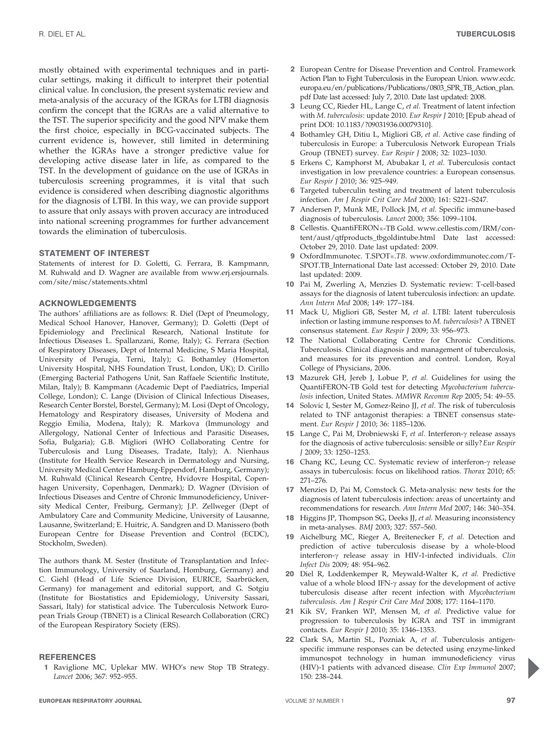mostly obtained with experimental techniques and in particular settings, making it difficult to interpret their potential clinical value. In conclusion, the present systematic review and meta-analysis of the accuracy of the IGRAs for LTBI diagnosis confirm the concept that the IGRAs are a valid alternative to the TST. The superior specificity and the good NPV make them the first choice, especially in BCG-vaccinated subjects. The current evidence is, however, still limited in determining whether the IGRAs have a stronger predictive value for developing active disease later in life, as compared to the TST. In the development of guidance on the use of IGRAs in tuberculosis screening programmes, it is vital that such evidence is considered when describing diagnostic algorithms for the diagnosis of LTBI. In this way, we can provide support to assure that only assays with proven accuracy are introduced into national screening programmes for further advancement towards the elimination of tuberculosis.

## STATEMENT OF INTEREST

Statements of interest for D. Goletti, G. Ferrara, B. Kampmann, M. Ruhwald and D. Wagner are available from www.erj.ersjournals. com/site/misc/statements.xhtml

#### ACKNOWLEDGEMENTS

The authors' affiliations are as follows: R. Diel (Dept of Pneumology, Medical School Hanover, Hanover, Germany); D. Goletti (Dept of Epidemiology and Preclinical Research, National Institute for Infectious Diseases L. Spallanzani, Rome, Italy); G. Ferrara (Section of Respiratory Diseases, Dept of Internal Medicine, S Maria Hospital, University of Perugia, Terni, Italy); G. Bothamley (Homerton University Hospital, NHS Foundation Trust, London, UK); D. Cirillo (Emerging Bacterial Pathogens Unit, San Raffaele Scientific Institute, Milan, Italy); B. Kampmann (Academic Dept of Paediatrics, Imperial College, London); C. Lange (Division of Clinical Infectious Diseases, Research Center Borstel, Borstel, Germany); M. Losi (Dept of Oncology, Hematology and Respiratory diseases, University of Modena and Reggio Emilia, Modena, Italy); R. Markova (Immunology and Allergology, National Center of Infectious and Parasitic Diseases, Sofia, Bulgaria); G.B. Migliori (WHO Collaborating Centre for Tuberculosis and Lung Diseases, Tradate, Italy); A. Nienhaus (Institute for Health Service Research in Dermatology and Nursing, University Medical Center Hamburg-Eppendorf, Hamburg, Germany); M. Ruhwald (Clinical Research Centre, Hvidovre Hospital, Copenhagen University, Copenhagen, Denmark); D. Wagner (Division of Infectious Diseases and Centre of Chronic Immunodeficiency, University Medical Center, Freiburg, Germany); J.P. Zellweger (Dept of Ambulatory Care and Community Medicine, University of Lausanne, Lausanne, Switzerland; E. Huitric, A. Sandgren and D. Manissero (both European Centre for Disease Prevention and Control (ECDC), Stockholm, Sweden).

The authors thank M. Sester (Institute of Transplantation and Infection Immunology, University of Saarland, Homburg, Germany) and C. Giehl (Head of Life Science Division, EURICE, Saarbrücken, Germany) for management and editorial support, and G. Sotgiu (Institute for Biostatistics and Epidemiology, University Sassari, Sassari, Italy) for statistical advice. The Tuberculosis Network European Trials Group (TBNET) is a Clinical Research Collaboration (CRC) of the European Respiratory Society (ERS).

## **REFERENCES**

1 Raviglione MC, Uplekar MW. WHO's new Stop TB Strategy. Lancet 2006; 367: 952–955.

- 2 European Centre for Disease Prevention and Control. Framework Action Plan to Fight Tuberculosis in the European Union. www.ecdc. europa.eu/en/publications/Publications/0803\_SPR\_TB\_Action\_plan. pdf Date last accessed: July 7, 2010. Date last updated: 2008.
- 3 Leung CC, Rieder HL, Lange C, et al. Treatment of latent infection with M. tuberculosis: update 2010. Eur Respir J 2010; [Epub ahead of print DOI: 10.1183/?09031936.00079310].
- 4 Bothamley GH, Ditiu L, Migliori GB, et al. Active case finding of tuberculosis in Europe: a Tuberculosis Network European Trials Group (TBNET) survey. Eur Respir J 2008; 32: 1023–1030.
- 5 Erkens C, Kamphorst M, Abubakar I, et al. Tuberculosis contact investigation in low prevalence countries: a European consensus. Eur Respir J 2010; 36: 925–949.
- 6 Targeted tuberculin testing and treatment of latent tuberculosis infection. Am J Respir Crit Care Med 2000; 161: S221–S247.
- 7 Andersen P, Munk ME, Pollock JM, et al. Specific immune-based diagnosis of tuberculosis. Lancet 2000; 356: 1099–1104.
- 8 Cellestis. QuantiFERON®-TB Gold. www.cellestis.com/IRM/content/aust/qtfproducts\_tbgoldintube.html Date last accessed: October 29, 2010. Date last updated: 2009.
- OxfordImmunotec. T.SPOT®.TB. www.oxfordimmunotec.com/T-SPOT.TB\_International Date last accessed: October 29, 2010. Date last updated: 2009.
- 10 Pai M, Zwerling A, Menzies D. Systematic review: T-cell-based assays for the diagnosis of latent tuberculosis infection: an update. Ann Intern Med 2008; 149: 177–184.
- 11 Mack U, Migliori GB, Sester M, et al. LTBI: latent tuberculosis infection or lasting immune responses to M. tuberculosis? A TBNET consensus statement. Eur Respir J 2009; 33: 956–973.
- 12 The National Collaborating Centre for Chronic Conditions. Tuberculosis. Clinical diagnosis and management of tuberculosis, and measures for its prevention and control. London, Royal College of Physicians, 2006.
- 13 Mazurek GH, Jereb J, Lobue P, et al. Guidelines for using the QuantiFERON-TB Gold test for detecting Mycobacterium tuberculosis infection, United States. MMWR Recomm Rep 2005; 54: 49–55.
- 14 Solovic I, Sester M, Gomez-Reino JJ, et al. The risk of tuberculosis related to TNF antagonist therapies: a TBNET consensus statement. Eur Respir J 2010; 36: 1185–1206.
- 15 Lange C, Pai M, Drobniewski F, et al. Interferon- $\gamma$  release assays for the diagnosis of active tuberculosis: sensible or silly?Eur Respir J 2009; 33: 1250–1253.
- 16 Chang KC, Leung CC. Systematic review of interferon- $\gamma$  release assays in tuberculosis: focus on likelihood ratios. Thorax 2010; 65: 271–276.
- 17 Menzies D, Pai M, Comstock G. Meta-analysis: new tests for the diagnosis of latent tuberculosis infection: areas of uncertainty and recommendations for research. Ann Intern Med 2007; 146: 340–354.
- 18 Higgins JP, Thompson SG, Deeks JJ, et al. Measuring inconsistency in meta-analyses. BMJ 2003; 327: 557–560.
- 19 Aichelburg MC, Rieger A, Breitenecker F, et al. Detection and prediction of active tuberculosis disease by a whole-blood interferon- $\gamma$  release assay in HIV-1-infected individuals. Clin Infect Dis 2009; 48: 954–962.
- 20 Diel R, Loddenkemper R, Meywald-Walter K, et al. Predictive value of a whole blood IFN- $\gamma$  assay for the development of active tuberculosis disease after recent infection with Mycobacterium tuberculosis. Am J Respir Crit Care Med 2008; 177: 1164–1170.
- 21 Kik SV, Franken WP, Mensen M, et al. Predictive value for progression to tuberculosis by IGRA and TST in immigrant contacts. Eur Respir J 2010; 35: 1346–1353.
- 22 Clark SA, Martin SL, Pozniak A, et al. Tuberculosis antigenspecific immune responses can be detected using enzyme-linked immunospot technology in human immunodeficiency virus (HIV)-1 patients with advanced disease. Clin Exp Immunol 2007; 150: 238–244.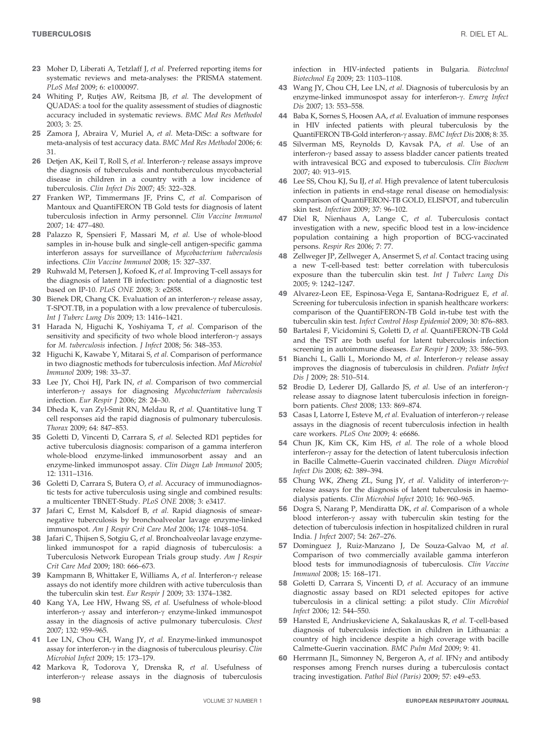- 23 Moher D, Liberati A, Tetzlaff J, et al. Preferred reporting items for systematic reviews and meta-analyses: the PRISMA statement. PLoS Med 2009; 6: e1000097.
- 24 Whiting P, Rutjes AW, Reitsma JB, et al. The development of QUADAS: a tool for the quality assessment of studies of diagnostic accuracy included in systematic reviews. BMC Med Res Methodol 2003; 3: 25.
- 25 Zamora J, Abraira V, Muriel A, et al. Meta-DiSc: a software for meta-analysis of test accuracy data. BMC Med Res Methodol 2006; 6: 31.
- 26 Detjen AK, Keil T, Roll S, et al. Interferon- $\gamma$  release assays improve the diagnosis of tuberculosis and nontuberculous mycobacterial disease in children in a country with a low incidence of tuberculosis. Clin Infect Dis 2007; 45: 322–328.
- 27 Franken WP, Timmermans JF, Prins C, et al. Comparison of Mantoux and QuantiFERON TB Gold tests for diagnosis of latent tuberculosis infection in Army personnel. Clin Vaccine Immunol 2007; 14: 477–480.
- 28 Palazzo R, Spensieri F, Massari M, et al. Use of whole-blood samples in in-house bulk and single-cell antigen-specific gamma interferon assays for surveillance of Mycobacterium tuberculosis infections. Clin Vaccine Immunol 2008; 15: 327–337.
- 29 Ruhwald M, Petersen J, Kofoed K, et al. Improving T-cell assays for the diagnosis of latent TB infection: potential of a diagnostic test based on IP-10. PLoS ONE 2008; 3: e2858.
- 30 Bienek DR, Chang CK. Evaluation of an interferon- $\gamma$  release assay, T-SPOT.TB, in a population with a low prevalence of tuberculosis. Int J Tuberc Lung Dis 2009; 13: 1416–1421.
- 31 Harada N, Higuchi K, Yoshiyama T, et al. Comparison of the sensitivity and specificity of two whole blood interferon- $\gamma$  assays for M. tuberculosis infection. J Infect 2008; 56: 348-353.
- 32 Higuchi K, Kawabe Y, Mitarai S, et al. Comparison of performance in two diagnostic methods for tuberculosis infection. Med Microbiol Immunol 2009; 198: 33–37.
- 33 Lee JY, Choi HJ, Park IN, et al. Comparison of two commercial  $interferon- $\gamma$  assays for diagnosing *Mycobacterium tuberculosis*$ infection. Eur Respir J 2006; 28: 24–30.
- 34 Dheda K, van Zyl-Smit RN, Meldau R, et al. Quantitative lung T cell responses aid the rapid diagnosis of pulmonary tuberculosis. Thorax 2009; 64: 847–853.
- 35 Goletti D, Vincenti D, Carrara S, et al. Selected RD1 peptides for active tuberculosis diagnosis: comparison of a gamma interferon whole-blood enzyme-linked immunosorbent assay and an enzyme-linked immunospot assay. Clin Diagn Lab Immunol 2005; 12: 1311–1316.
- 36 Goletti D, Carrara S, Butera O, et al. Accuracy of immunodiagnostic tests for active tuberculosis using single and combined results: a multicenter TBNET-Study. PLoS ONE 2008; 3: e3417.
- 37 Jafari C, Ernst M, Kalsdorf B, et al. Rapid diagnosis of smearnegative tuberculosis by bronchoalveolar lavage enzyme-linked immunospot. Am J Respir Crit Care Med 2006; 174: 1048–1054.
- 38 Jafari C, Thijsen S, Sotgiu G, et al. Bronchoalveolar lavage enzymelinked immunospot for a rapid diagnosis of tuberculosis: a Tuberculosis Network European Trials group study. Am J Respir Crit Care Med 2009; 180: 666–673.
- 39 Kampmann B, Whittaker E, Williams A, et al. Interferon- $\gamma$  release assays do not identify more children with active tuberculosis than the tuberculin skin test. Eur Respir J 2009; 33: 1374–1382.
- 40 Kang YA, Lee HW, Hwang SS, et al. Usefulness of whole-blood interferon- $\gamma$  assay and interferon- $\gamma$  enzyme-linked immunospot assay in the diagnosis of active pulmonary tuberculosis. Chest 2007; 132: 959–965.
- 41 Lee LN, Chou CH, Wang JY, et al. Enzyme-linked immunospot assay for interferon- $\gamma$  in the diagnosis of tuberculous pleurisy. Clin Microbiol Infect 2009; 15: 173–179.
- 42 Markova R, Todorova Y, Drenska R, et al. Usefulness of interferon- $\gamma$  release assays in the diagnosis of tuberculosis

infection in HIV-infected patients in Bulgaria. Biotechnol Biotechnol Eq 2009; 23: 1103–1108.

- 43 Wang JY, Chou CH, Lee LN, et al. Diagnosis of tuberculosis by an enzyme-linked immunospot assay for interferon- $\gamma$ . Emerg Infect Dis 2007; 13: 553–558.
- 44 Baba K, Sornes S, Hoosen AA, et al. Evaluation of immune responses in HIV infected patients with pleural tuberculosis by the QuantiFERON TB-Gold interferon- $\gamma$  assay. BMC Infect Dis 2008; 8: 35.
- 45 Silverman MS, Reynolds D, Kavsak PA, et al. Use of an interferon- $\gamma$  based assay to assess bladder cancer patients treated with intravesical BCG and exposed to tuberculosis. Clin Biochem 2007; 40: 913–915.
- 46 Lee SS, Chou KJ, Su IJ, et al. High prevalence of latent tuberculosis infection in patients in end-stage renal disease on hemodialysis: comparison of QuantiFERON-TB GOLD, ELISPOT, and tuberculin skin test. Infection 2009; 37: 96–102.
- 47 Diel R, Nienhaus A, Lange C, et al. Tuberculosis contact investigation with a new, specific blood test in a low-incidence population containing a high proportion of BCG-vaccinated persons. Respir Res 2006; 7: 77.
- 48 Zellweger JP, Zellweger A, Ansermet S, et al. Contact tracing using a new T-cell-based test: better correlation with tuberculosis exposure than the tuberculin skin test. Int J Tuberc Lung Dis 2005; 9: 1242–1247.
- 49 Alvarez-Leon EE, Espinosa-Vega E, Santana-Rodriguez E, et al. Screening for tuberculosis infection in spanish healthcare workers: comparison of the QuantiFERON-TB Gold in-tube test with the tuberculin skin test. Infect Control Hosp Epidemiol 2009; 30: 876–883.
- 50 Bartalesi F, Vicidomini S, Goletti D, et al. QuantiFERON-TB Gold and the TST are both useful for latent tuberculosis infection screening in autoimmune diseases. Eur Respir J 2009; 33: 586–593.
- 51 Bianchi L, Galli L, Moriondo M, et al. Interferon- $\gamma$  release assay improves the diagnosis of tuberculosis in children. Pediatr Infect Dis J 2009; 28: 510–514.
- 52 Brodie D, Lederer DJ, Gallardo JS, et al. Use of an interferon- $\gamma$ release assay to diagnose latent tuberculosis infection in foreignborn patients. Chest 2008; 133: 869–874.
- 53 Casas I, Latorre I, Esteve M, et al. Evaluation of interferon- $\gamma$  release assays in the diagnosis of recent tuberculosis infection in health care workers. PLoS One 2009; 4: e6686.
- 54 Chun JK, Kim CK, Kim HS, et al. The role of a whole blood interferon- $\gamma$  assay for the detection of latent tuberculosis infection in Bacille Calmette–Guerin vaccinated children. Diagn Microbiol Infect Dis 2008; 62: 389–394.
- 55 Chung WK, Zheng ZL, Sung JY, et al. Validity of interferon- $\gamma$ release assays for the diagnosis of latent tuberculosis in haemodialysis patients. Clin Microbiol Infect 2010; 16: 960–965.
- 56 Dogra S, Narang P, Mendiratta DK, et al. Comparison of a whole blood interferon- $\gamma$  assay with tuberculin skin testing for the detection of tuberculosis infection in hospitalized children in rural India. J Infect 2007; 54: 267–276.
- 57 Dominguez J, Ruiz-Manzano J, De Souza-Galvao M, et al. Comparison of two commercially available gamma interferon blood tests for immunodiagnosis of tuberculosis. Clin Vaccine Immunol 2008; 15: 168–171.
- 58 Goletti D, Carrara S, Vincenti D, et al. Accuracy of an immune diagnostic assay based on RD1 selected epitopes for active tuberculosis in a clinical setting: a pilot study. Clin Microbiol Infect 2006; 12: 544–550.
- 59 Hansted E, Andriuskeviciene A, Sakalauskas R, et al. T-cell-based diagnosis of tuberculosis infection in children in Lithuania: a country of high incidence despite a high coverage with bacille Calmette-Guerin vaccination. BMC Pulm Med 2009; 9: 41.
- 60 Herrmann JL, Simonney N, Bergeron A, et al. IFN $\gamma$  and antibody responses among French nurses during a tuberculosis contact tracing investigation. Pathol Biol (Paris) 2009; 57: e49–e53.